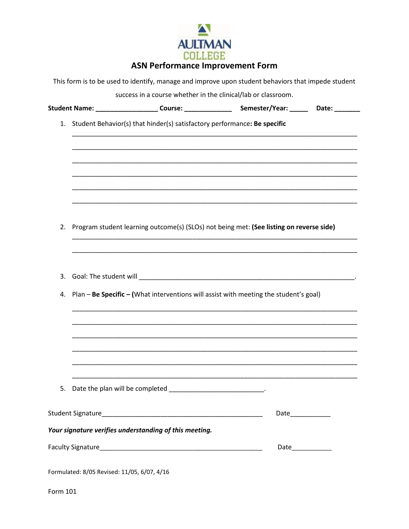

## **ASN Performance Improvement Form**

This form is to be used to identify, manage and improve upon student behaviors that impede student

|   | success in a course whether in the clinical/lab or classroom.               |  |                                                                                                                                                                                                                   |  |  |
|---|-----------------------------------------------------------------------------|--|-------------------------------------------------------------------------------------------------------------------------------------------------------------------------------------------------------------------|--|--|
|   |                                                                             |  |                                                                                                                                                                                                                   |  |  |
|   | 1. Student Behavior(s) that hinder(s) satisfactory performance: Be specific |  |                                                                                                                                                                                                                   |  |  |
|   |                                                                             |  | <u> 1989 - John Harry Harry Harry Harry Harry Harry Harry Harry Harry Harry Harry Harry Harry Harry Harry Harry H</u>                                                                                             |  |  |
|   |                                                                             |  |                                                                                                                                                                                                                   |  |  |
|   |                                                                             |  |                                                                                                                                                                                                                   |  |  |
|   |                                                                             |  | 2. Program student learning outcome(s) (SLOs) not being met: (See listing on reverse side)<br><u> 1999 - John Harry Harry Harry Harry Harry Harry Harry Harry Harry Harry Harry Harry Harry Harry Harry Harry</u> |  |  |
|   |                                                                             |  | <u> 1990 - Jan James James Jan James James James James James James James James James James James James James Ja</u>                                                                                               |  |  |
|   |                                                                             |  |                                                                                                                                                                                                                   |  |  |
| Δ |                                                                             |  | $Plan - Re$ Specific $-$ (What interventions will assist with meeting the student's goal)                                                                                                                         |  |  |

4. Plan – **Be Specific – (**What interventions will assist with meeting the student's goal)

| <b>Student Signature</b>                               | Date |
|--------------------------------------------------------|------|
| Your signature verifies understanding of this meeting. |      |
|                                                        | Date |

5. Date the plan will be completed \_\_\_\_\_\_\_\_\_\_\_\_\_\_\_\_\_\_\_\_\_\_\_\_\_\_\_\_\_\_\_\_\_\_.

Formulated: 8/05 Revised: 11/05, 6/07, 4/16